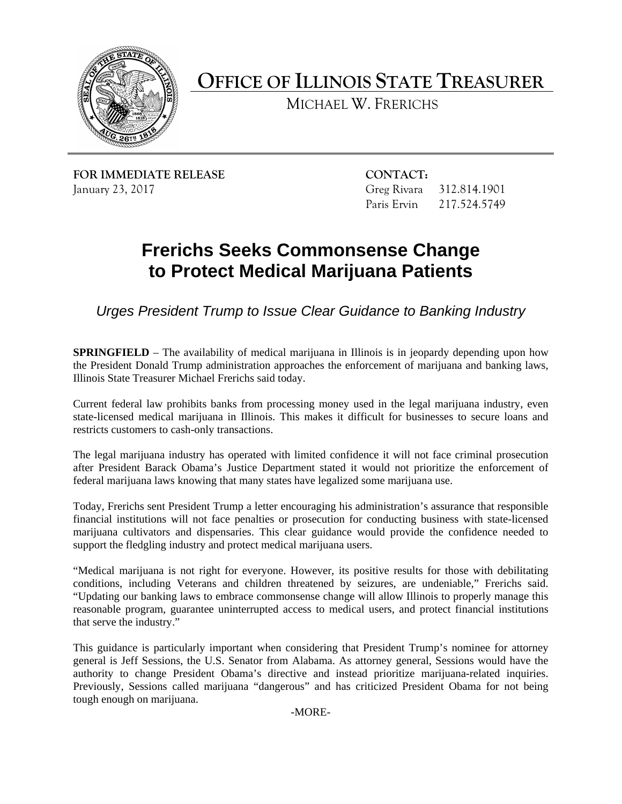

**OFFICE OF ILLINOIS STATE TREASURER**

MICHAEL W. FRERICHS

**FOR IMMEDIATE RELEASE CONTACT:** January 23, 2017 Greg Rivara 312.814.1901

Paris Ervin 217.524.5749

## **Frerichs Seeks Commonsense Change to Protect Medical Marijuana Patients**

*Urges President Trump to Issue Clear Guidance to Banking Industry*

**SPRINGFIELD** – The availability of medical marijuana in Illinois is in jeopardy depending upon how the President Donald Trump administration approaches the enforcement of marijuana and banking laws, Illinois State Treasurer Michael Frerichs said today.

Current federal law prohibits banks from processing money used in the legal marijuana industry, even state-licensed medical marijuana in Illinois. This makes it difficult for businesses to secure loans and restricts customers to cash-only transactions.

The legal marijuana industry has operated with limited confidence it will not face criminal prosecution after President Barack Obama's Justice Department stated it would not prioritize the enforcement of federal marijuana laws knowing that many states have legalized some marijuana use.

Today, Frerichs sent President Trump a letter encouraging his administration's assurance that responsible financial institutions will not face penalties or prosecution for conducting business with state-licensed marijuana cultivators and dispensaries. This clear guidance would provide the confidence needed to support the fledgling industry and protect medical marijuana users.

"Medical marijuana is not right for everyone. However, its positive results for those with debilitating conditions, including Veterans and children threatened by seizures, are undeniable," Frerichs said. "Updating our banking laws to embrace commonsense change will allow Illinois to properly manage this reasonable program, guarantee uninterrupted access to medical users, and protect financial institutions that serve the industry."

This guidance is particularly important when considering that President Trump's nominee for attorney general is Jeff Sessions, the U.S. Senator from Alabama. As attorney general, Sessions would have the authority to change President Obama's directive and instead prioritize marijuana-related inquiries. Previously, Sessions called marijuana "dangerous" and has criticized President Obama for not being tough enough on marijuana.

-MORE-